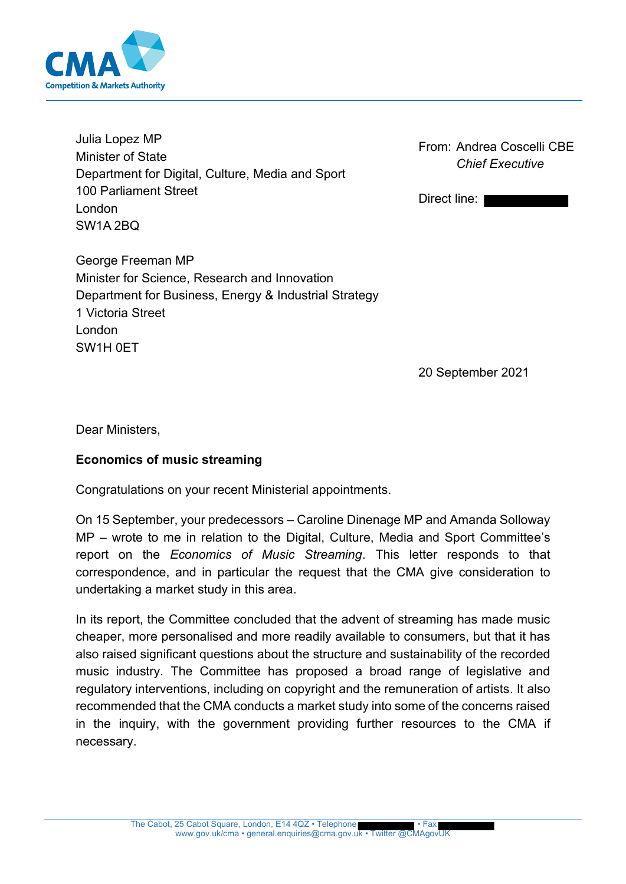

Julia Lopez MP Minister of State Department for Digital, Culture, Media and Sport 100 Parliament Street London SW1A 2BQ

From: Andrea Coscelli CBE *Chief Executive*

Direct line:

George Freeman MP Minister for Science, Research and Innovation Department for Business, Energy & Industrial Strategy 1 Victoria Street London SW1H 0ET

20 September 2021

Dear Ministers,

## **Economics of music streaming**

Congratulations on your recent Ministerial appointments.

On 15 September, your predecessors – Caroline Dinenage MP and Amanda Solloway MP – wrote to me in relation to the Digital, Culture, Media and Sport Committee's report on the *Economics of Music Streaming*. This letter responds to that correspondence, and in particular the request that the CMA give consideration to undertaking a market study in this area.

In its report, the Committee concluded that the advent of streaming has made music cheaper, more personalised and more readily available to consumers, but that it has also raised significant questions about the structure and sustainability of the recorded music industry. The Committee has proposed a broad range of legislative and regulatory interventions, including on copyright and the remuneration of artists. It also recommended that the CMA conducts a market study into some of the concerns raised in the inquiry, with the government providing further resources to the CMA if necessary.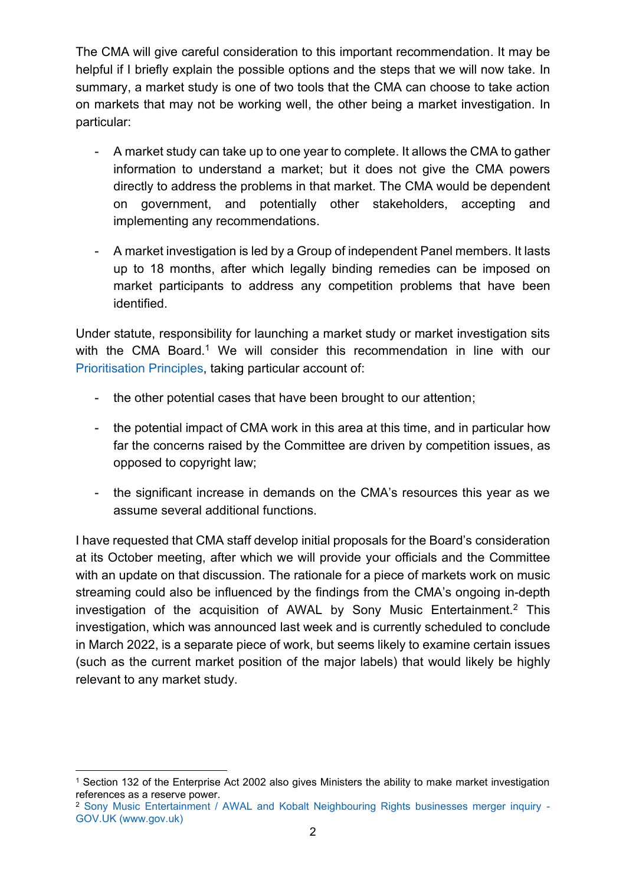The CMA will give careful consideration to this important recommendation. It may be helpful if I briefly explain the possible options and the steps that we will now take. In summary, a market study is one of two tools that the CMA can choose to take action on markets that may not be working well, the other being a market investigation. In particular:

- A market study can take up to one year to complete. It allows the CMA to gather information to understand a market; but it does not give the CMA powers directly to address the problems in that market. The CMA would be dependent on government, and potentially other stakeholders, accepting and implementing any recommendations.
- A market investigation is led by a Group of independent Panel members. It lasts up to 18 months, after which legally binding remedies can be imposed on market participants to address any competition problems that have been identified.

Under statute, responsibility for launching a market study or market investigation sits with the CMA Board.<sup>1</sup> We will consider this recommendation in line with our [Prioritisation Principles,](https://www.gov.uk/government/publications/cma-prioritisation-principles) taking particular account of:

- the other potential cases that have been brought to our attention;
- the potential impact of CMA work in this area at this time, and in particular how far the concerns raised by the Committee are driven by competition issues, as opposed to copyright law;
- the significant increase in demands on the CMA's resources this year as we assume several additional functions.

I have requested that CMA staff develop initial proposals for the Board's consideration at its October meeting, after which we will provide your officials and the Committee with an update on that discussion. The rationale for a piece of markets work on music streaming could also be influenced by the findings from the CMA's ongoing in-depth investigation of the acquisition of AWAL by Sony Music Entertainment.<sup>2</sup> This investigation, which was announced last week and is currently scheduled to conclude in March 2022, is a separate piece of work, but seems likely to examine certain issues (such as the current market position of the major labels) that would likely be highly relevant to any market study.

<sup>&</sup>lt;sup>1</sup> Section 132 of the Enterprise Act 2002 also gives Ministers the ability to make market investigation references as a reserve power.

<sup>2</sup> [Sony Music Entertainment / AWAL and Kobalt Neighbouring Rights businesses merger inquiry -](https://www.gov.uk/cma-cases/sony-music-entertainment-slash-kobalt-music-group-merger-inquiry) [GOV.UK \(www.gov.uk\)](https://www.gov.uk/cma-cases/sony-music-entertainment-slash-kobalt-music-group-merger-inquiry)